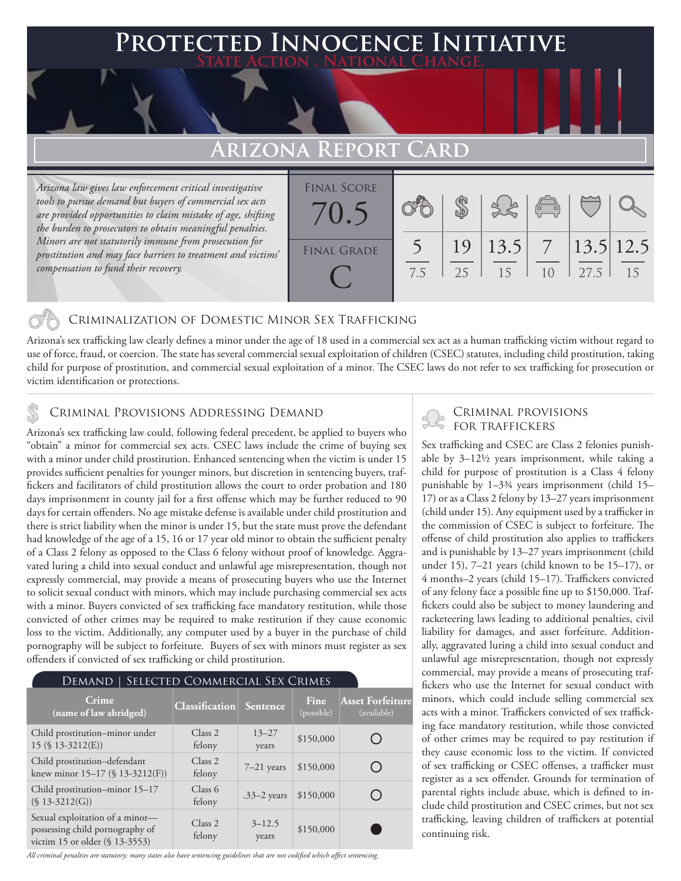## **PTED INNOCENCE INITIATIVE State Action . National Change.**

## **Arizona Report Card**

*Arizona law gives law enforcement critical investigative tools to pursue demand but buyers of commercial sex acts are provided opportunities to claim mistake of age, shifting the burden to prosecutors to obtain meaningful penalties. Minors are not statutorily immune from prosecution for prostitution and may face barriers to treatment and victims' compensation to fund their recovery.*



### Criminalization of Domestic Minor Sex Trafficking

Arizona's sex trafficking law clearly defines a minor under the age of 18 used in a commercial sex act as a human trafficking victim without regard to use of force, fraud, or coercion. The state has several commercial sexual exploitation of children (CSEC) statutes, including child prostitution, taking child for purpose of prostitution, and commercial sexual exploitation of a minor. The CSEC laws do not refer to sex trafficking for prosecution or victim identification or protections.

# CRIMINAL PROVISIONS ADDRESSING DEMAND<br>Aritons's sox trafficking law sould fallowing foderal procedent be applied to buyers who

Arizona's sex trafficking law could, following federal precedent, be applied to buyers who "obtain" a minor for commercial sex acts. CSEC laws include the crime of buying sex with a minor under child prostitution. Enhanced sentencing when the victim is under 15 provides sufficient penalties for younger minors, but discretion in sentencing buyers, traffickers and facilitators of child prostitution allows the court to order probation and 180 days imprisonment in county jail for a first offense which may be further reduced to 90 days for certain offenders. No age mistake defense is available under child prostitution and there is strict liability when the minor is under 15, but the state must prove the defendant had knowledge of the age of a 15, 16 or 17 year old minor to obtain the sufficient penalty of a Class 2 felony as opposed to the Class 6 felony without proof of knowledge. Aggravated luring a child into sexual conduct and unlawful age misrepresentation, though not expressly commercial, may provide a means of prosecuting buyers who use the Internet to solicit sexual conduct with minors, which may include purchasing commercial sex acts with a minor. Buyers convicted of sex trafficking face mandatory restitution, while those convicted of other crimes may be required to make restitution if they cause economic loss to the victim. Additionally, any computer used by a buyer in the purchase of child pornography will be subject to forfeiture. Buyers of sex with minors must register as sex offenders if convicted of sex trafficking or child prostitution.

| SELECTED COMMERCIAL SEX CRIMES<br>DEMAND                                                             |                              |                     |                    |                                        |
|------------------------------------------------------------------------------------------------------|------------------------------|---------------------|--------------------|----------------------------------------|
| Crime<br>(name of law abridged)                                                                      | <b>Classification</b>        | <b>Sentence</b>     | Fine<br>(possible) | <b>Asset Forfeiture</b><br>(available) |
| Child prostitution-minor under<br>$15$ (§ 13-3212(E))                                                | Class <sub>2</sub><br>felony | $13 - 27$<br>years  | \$150,000          |                                        |
| Child prostitution-defendant<br>knew minor 15-17 (§ 13-3212(F))                                      | Class <sub>2</sub><br>felony | $7-21$ years        | \$150,000          |                                        |
| Child prostitution-minor 15-17<br>$(S 13-3212(G))$                                                   | Class 6<br>felony            | $.33-2$ years       | \$150,000          |                                        |
| Sexual exploitation of a minor-<br>possessing child pornography of<br>victim 15 or older (§ 13-3553) | Class <sub>2</sub><br>felony | $3 - 12.5$<br>years | \$150,000          |                                        |

#### *All criminal penalties are statutory; many states also have sentencing guidelines that are not codified which affect sentencing.*

Sex trafficking and CSEC are Class 2 felonies punishable by 3–12½ years imprisonment, while taking a child for purpose of prostitution is a Class 4 felony punishable by 1–3¾ years imprisonment (child 15– 17) or as a Class 2 felony by 13–27 years imprisonment (child under 15). Any equipment used by a trafficker in the commission of CSEC is subject to forfeiture. The offense of child prostitution also applies to traffickers and is punishable by 13–27 years imprisonment (child under 15), 7–21 years (child known to be 15–17), or 4 months–2 years (child 15–17). Traffickers convicted of any felony face a possible fine up to \$150,000. Traffickers could also be subject to money laundering and racketeering laws leading to additional penalties, civil liability for damages, and asset forfeiture. Additionally, aggravated luring a child into sexual conduct and unlawful age misrepresentation, though not expressly commercial, may provide a means of prosecuting traffickers who use the Internet for sexual conduct with minors, which could include selling commercial sex acts with a minor. Traffickers convicted of sex trafficking face mandatory restitution, while those convicted of other crimes may be required to pay restitution if they cause economic loss to the victim. If convicted of sex trafficking or CSEC offenses, a trafficker must register as a sex offender. Grounds for termination of parental rights include abuse, which is defined to include child prostitution and CSEC crimes, but not sex trafficking, leaving children of traffickers at potential continuing risk.